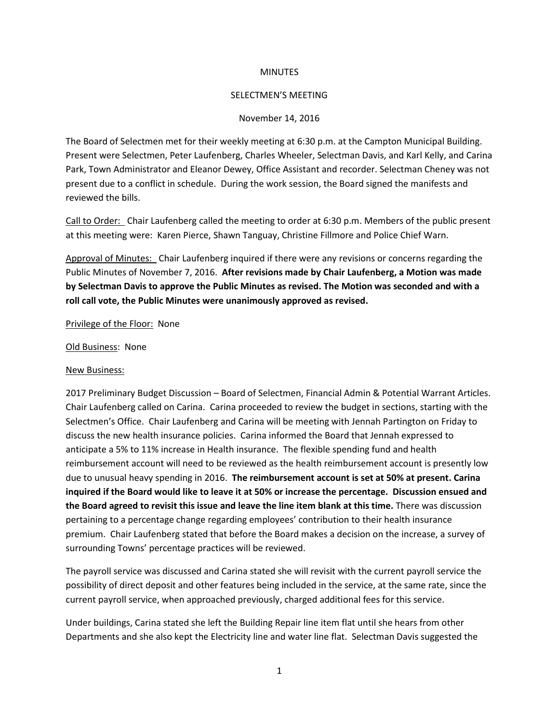## **MINUTES**

#### SELECTMEN'S MEETING

### November 14, 2016

The Board of Selectmen met for their weekly meeting at 6:30 p.m. at the Campton Municipal Building. Present were Selectmen, Peter Laufenberg, Charles Wheeler, Selectman Davis, and Karl Kelly, and Carina Park, Town Administrator and Eleanor Dewey, Office Assistant and recorder. Selectman Cheney was not present due to a conflict in schedule. During the work session, the Board signed the manifests and reviewed the bills.

Call to Order: Chair Laufenberg called the meeting to order at 6:30 p.m. Members of the public present at this meeting were: Karen Pierce, Shawn Tanguay, Christine Fillmore and Police Chief Warn.

Approval of Minutes: Chair Laufenberg inquired if there were any revisions or concerns regarding the Public Minutes of November 7, 2016. **After revisions made by Chair Laufenberg, a Motion was made by Selectman Davis to approve the Public Minutes as revised. The Motion was seconded and with a roll call vote, the Public Minutes were unanimously approved as revised.**

#### Privilege of the Floor: None

### Old Business: None

#### New Business:

2017 Preliminary Budget Discussion – Board of Selectmen, Financial Admin & Potential Warrant Articles. Chair Laufenberg called on Carina. Carina proceeded to review the budget in sections, starting with the Selectmen's Office. Chair Laufenberg and Carina will be meeting with Jennah Partington on Friday to discuss the new health insurance policies. Carina informed the Board that Jennah expressed to anticipate a 5% to 11% increase in Health insurance. The flexible spending fund and health reimbursement account will need to be reviewed as the health reimbursement account is presently low due to unusual heavy spending in 2016. **The reimbursement account is set at 50% at present. Carina inquired if the Board would like to leave it at 50% or increase the percentage. Discussion ensued and the Board agreed to revisit this issue and leave the line item blank at this time.** There was discussion pertaining to a percentage change regarding employees' contribution to their health insurance premium. Chair Laufenberg stated that before the Board makes a decision on the increase, a survey of surrounding Towns' percentage practices will be reviewed.

The payroll service was discussed and Carina stated she will revisit with the current payroll service the possibility of direct deposit and other features being included in the service, at the same rate, since the current payroll service, when approached previously, charged additional fees for this service.

Under buildings, Carina stated she left the Building Repair line item flat until she hears from other Departments and she also kept the Electricity line and water line flat. Selectman Davis suggested the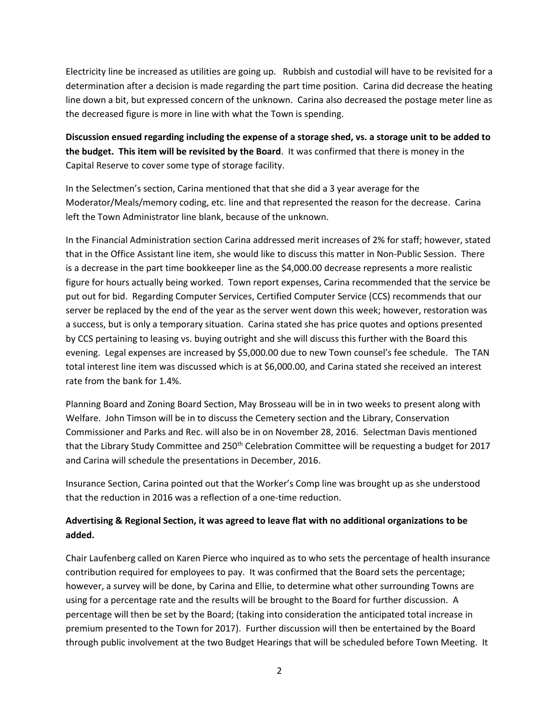Electricity line be increased as utilities are going up. Rubbish and custodial will have to be revisited for a determination after a decision is made regarding the part time position. Carina did decrease the heating line down a bit, but expressed concern of the unknown. Carina also decreased the postage meter line as the decreased figure is more in line with what the Town is spending.

**Discussion ensued regarding including the expense of a storage shed, vs. a storage unit to be added to the budget. This item will be revisited by the Board**. It was confirmed that there is money in the Capital Reserve to cover some type of storage facility.

In the Selectmen's section, Carina mentioned that that she did a 3 year average for the Moderator/Meals/memory coding, etc. line and that represented the reason for the decrease. Carina left the Town Administrator line blank, because of the unknown.

In the Financial Administration section Carina addressed merit increases of 2% for staff; however, stated that in the Office Assistant line item, she would like to discuss this matter in Non-Public Session. There is a decrease in the part time bookkeeper line as the \$4,000.00 decrease represents a more realistic figure for hours actually being worked. Town report expenses, Carina recommended that the service be put out for bid. Regarding Computer Services, Certified Computer Service (CCS) recommends that our server be replaced by the end of the year as the server went down this week; however, restoration was a success, but is only a temporary situation. Carina stated she has price quotes and options presented by CCS pertaining to leasing vs. buying outright and she will discuss this further with the Board this evening. Legal expenses are increased by \$5,000.00 due to new Town counsel's fee schedule. The TAN total interest line item was discussed which is at \$6,000.00, and Carina stated she received an interest rate from the bank for 1.4%.

Planning Board and Zoning Board Section, May Brosseau will be in in two weeks to present along with Welfare. John Timson will be in to discuss the Cemetery section and the Library, Conservation Commissioner and Parks and Rec. will also be in on November 28, 2016. Selectman Davis mentioned that the Library Study Committee and 250<sup>th</sup> Celebration Committee will be requesting a budget for 2017 and Carina will schedule the presentations in December, 2016.

Insurance Section, Carina pointed out that the Worker's Comp line was brought up as she understood that the reduction in 2016 was a reflection of a one-time reduction.

# **Advertising & Regional Section, it was agreed to leave flat with no additional organizations to be added.**

Chair Laufenberg called on Karen Pierce who inquired as to who sets the percentage of health insurance contribution required for employees to pay. It was confirmed that the Board sets the percentage; however, a survey will be done, by Carina and Ellie, to determine what other surrounding Towns are using for a percentage rate and the results will be brought to the Board for further discussion. A percentage will then be set by the Board; (taking into consideration the anticipated total increase in premium presented to the Town for 2017). Further discussion will then be entertained by the Board through public involvement at the two Budget Hearings that will be scheduled before Town Meeting. It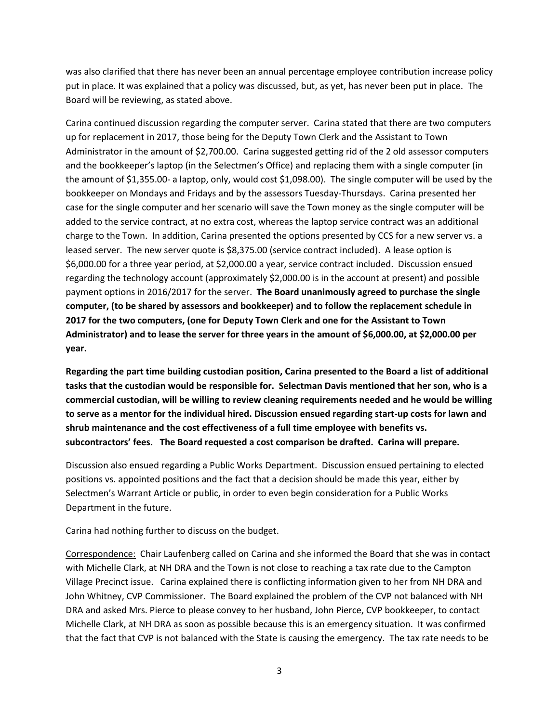was also clarified that there has never been an annual percentage employee contribution increase policy put in place. It was explained that a policy was discussed, but, as yet, has never been put in place. The Board will be reviewing, as stated above.

Carina continued discussion regarding the computer server. Carina stated that there are two computers up for replacement in 2017, those being for the Deputy Town Clerk and the Assistant to Town Administrator in the amount of \$2,700.00. Carina suggested getting rid of the 2 old assessor computers and the bookkeeper's laptop (in the Selectmen's Office) and replacing them with a single computer (in the amount of \$1,355.00- a laptop, only, would cost \$1,098.00). The single computer will be used by the bookkeeper on Mondays and Fridays and by the assessors Tuesday-Thursdays. Carina presented her case for the single computer and her scenario will save the Town money as the single computer will be added to the service contract, at no extra cost, whereas the laptop service contract was an additional charge to the Town. In addition, Carina presented the options presented by CCS for a new server vs. a leased server. The new server quote is \$8,375.00 (service contract included). A lease option is \$6,000.00 for a three year period, at \$2,000.00 a year, service contract included. Discussion ensued regarding the technology account (approximately \$2,000.00 is in the account at present) and possible payment options in 2016/2017 for the server. **The Board unanimously agreed to purchase the single computer, (to be shared by assessors and bookkeeper) and to follow the replacement schedule in 2017 for the two computers, (one for Deputy Town Clerk and one for the Assistant to Town Administrator) and to lease the server for three years in the amount of \$6,000.00, at \$2,000.00 per year.** 

**Regarding the part time building custodian position, Carina presented to the Board a list of additional tasks that the custodian would be responsible for. Selectman Davis mentioned that her son, who is a commercial custodian, will be willing to review cleaning requirements needed and he would be willing to serve as a mentor for the individual hired. Discussion ensued regarding start-up costs for lawn and shrub maintenance and the cost effectiveness of a full time employee with benefits vs. subcontractors' fees. The Board requested a cost comparison be drafted. Carina will prepare.** 

Discussion also ensued regarding a Public Works Department. Discussion ensued pertaining to elected positions vs. appointed positions and the fact that a decision should be made this year, either by Selectmen's Warrant Article or public, in order to even begin consideration for a Public Works Department in the future.

Carina had nothing further to discuss on the budget.

Correspondence: Chair Laufenberg called on Carina and she informed the Board that she was in contact with Michelle Clark, at NH DRA and the Town is not close to reaching a tax rate due to the Campton Village Precinct issue. Carina explained there is conflicting information given to her from NH DRA and John Whitney, CVP Commissioner. The Board explained the problem of the CVP not balanced with NH DRA and asked Mrs. Pierce to please convey to her husband, John Pierce, CVP bookkeeper, to contact Michelle Clark, at NH DRA as soon as possible because this is an emergency situation. It was confirmed that the fact that CVP is not balanced with the State is causing the emergency. The tax rate needs to be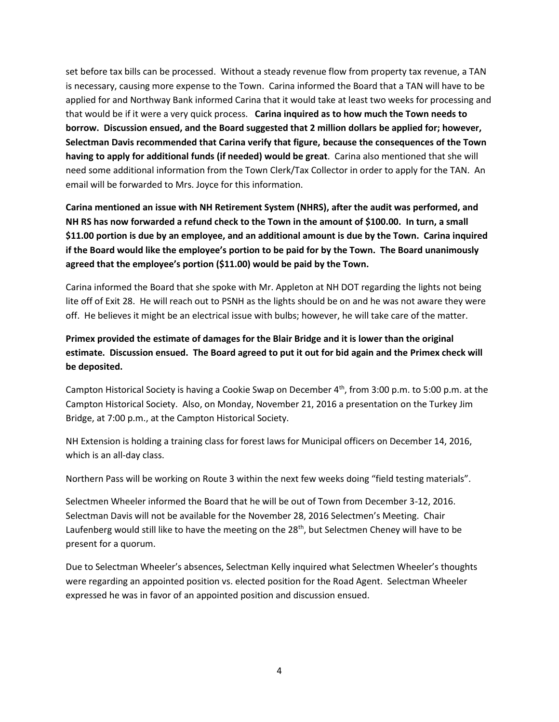set before tax bills can be processed. Without a steady revenue flow from property tax revenue, a TAN is necessary, causing more expense to the Town. Carina informed the Board that a TAN will have to be applied for and Northway Bank informed Carina that it would take at least two weeks for processing and that would be if it were a very quick process. **Carina inquired as to how much the Town needs to borrow. Discussion ensued, and the Board suggested that 2 million dollars be applied for; however, Selectman Davis recommended that Carina verify that figure, because the consequences of the Town having to apply for additional funds (if needed) would be great**. Carina also mentioned that she will need some additional information from the Town Clerk/Tax Collector in order to apply for the TAN. An email will be forwarded to Mrs. Joyce for this information.

**Carina mentioned an issue with NH Retirement System (NHRS), after the audit was performed, and NH RS has now forwarded a refund check to the Town in the amount of \$100.00. In turn, a small \$11.00 portion is due by an employee, and an additional amount is due by the Town. Carina inquired if the Board would like the employee's portion to be paid for by the Town. The Board unanimously agreed that the employee's portion (\$11.00) would be paid by the Town.** 

Carina informed the Board that she spoke with Mr. Appleton at NH DOT regarding the lights not being lite off of Exit 28. He will reach out to PSNH as the lights should be on and he was not aware they were off. He believes it might be an electrical issue with bulbs; however, he will take care of the matter.

# **Primex provided the estimate of damages for the Blair Bridge and it is lower than the original estimate. Discussion ensued. The Board agreed to put it out for bid again and the Primex check will be deposited.**

Campton Historical Society is having a Cookie Swap on December 4<sup>th</sup>, from 3:00 p.m. to 5:00 p.m. at the Campton Historical Society. Also, on Monday, November 21, 2016 a presentation on the Turkey Jim Bridge, at 7:00 p.m., at the Campton Historical Society.

NH Extension is holding a training class for forest laws for Municipal officers on December 14, 2016, which is an all-day class.

Northern Pass will be working on Route 3 within the next few weeks doing "field testing materials".

Selectmen Wheeler informed the Board that he will be out of Town from December 3-12, 2016. Selectman Davis will not be available for the November 28, 2016 Selectmen's Meeting. Chair Laufenberg would still like to have the meeting on the 28<sup>th</sup>, but Selectmen Cheney will have to be present for a quorum.

Due to Selectman Wheeler's absences, Selectman Kelly inquired what Selectmen Wheeler's thoughts were regarding an appointed position vs. elected position for the Road Agent. Selectman Wheeler expressed he was in favor of an appointed position and discussion ensued.